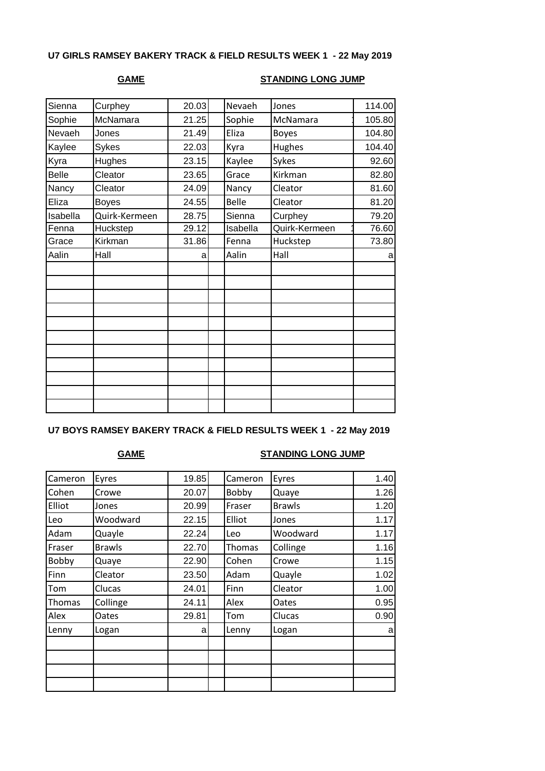# **U7 GIRLS RAMSEY BAKERY TRACK & FIELD RESULTS WEEK 1 - 22 May 2019**

## **GAME STANDING LONG JUMP**

| Sienna   | Curphey       | 20.03 | Nevaeh   | Jones         | 114.00 |
|----------|---------------|-------|----------|---------------|--------|
| Sophie   | McNamara      | 21.25 | Sophie   | McNamara      | 105.80 |
| Nevaeh   | Jones         | 21.49 | Eliza    | <b>Boyes</b>  | 104.80 |
| Kaylee   | <b>Sykes</b>  | 22.03 | Kyra     | Hughes        | 104.40 |
| Kyra     | Hughes        | 23.15 | Kaylee   | Sykes         | 92.60  |
| Belle    | Cleator       | 23.65 | Grace    | Kirkman       | 82.80  |
| Nancy    | Cleator       | 24.09 | Nancy    | Cleator       | 81.60  |
| Eliza    | <b>Boyes</b>  | 24.55 | Belle    | Cleator       | 81.20  |
| Isabella | Quirk-Kermeen | 28.75 | Sienna   | Curphey       | 79.20  |
| Fenna    | Huckstep      | 29.12 | Isabella | Quirk-Kermeen | 76.60  |
| Grace    | Kirkman       | 31.86 | Fenna    | Huckstep      | 73.80  |
| Aalin    | Hall          | a     | Aalin    | Hall          | a      |
|          |               |       |          |               |        |
|          |               |       |          |               |        |
|          |               |       |          |               |        |
|          |               |       |          |               |        |
|          |               |       |          |               |        |
|          |               |       |          |               |        |
|          |               |       |          |               |        |
|          |               |       |          |               |        |
|          |               |       |          |               |        |
|          |               |       |          |               |        |
|          |               |       |          |               |        |
|          |               |       |          |               |        |

# **U7 BOYS RAMSEY BAKERY TRACK & FIELD RESULTS WEEK 1 - 22 May 2019**

### **GAME STANDING LONG JUMP**

| Cameron | Eyres         | 19.85 | Cameron | Eyres         | 1.40 |
|---------|---------------|-------|---------|---------------|------|
| Cohen   | Crowe         | 20.07 | Bobby   | Quaye         | 1.26 |
| Elliot  | Jones         | 20.99 | Fraser  | <b>Brawls</b> | 1.20 |
| Leo     | Woodward      | 22.15 | Elliot  | Jones         | 1.17 |
| Adam    | Quayle        | 22.24 | Leo     | Woodward      | 1.17 |
| Fraser  | <b>Brawls</b> | 22.70 | Thomas  | Collinge      | 1.16 |
| Bobby   | Quaye         | 22.90 | Cohen   | Crowe         | 1.15 |
| Finn    | Cleator       | 23.50 | Adam    | Quayle        | 1.02 |
| Tom     | Clucas        | 24.01 | Finn    | Cleator       | 1.00 |
| Thomas  | Collinge      | 24.11 | Alex    | Oates         | 0.95 |
| Alex    | Oates         | 29.81 | Tom     | Clucas        | 0.90 |
| Lenny   | Logan         | a     | Lenny   | Logan         | a    |
|         |               |       |         |               |      |
|         |               |       |         |               |      |
|         |               |       |         |               |      |
|         |               |       |         |               |      |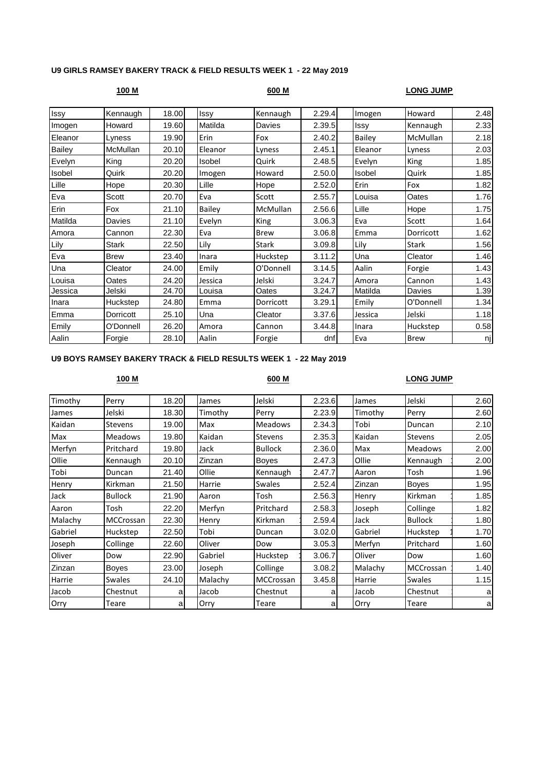### **U9 GIRLS RAMSEY BAKERY TRACK & FIELD RESULTS WEEK 1 - 22 May 2019**

| 100 M         |                 |       |               | 600 M       |        | <u>LONG JUMP</u> |              |      |  |
|---------------|-----------------|-------|---------------|-------------|--------|------------------|--------------|------|--|
| Issy          | Kennaugh        | 18.00 | Issy          | Kennaugh    | 2.29.4 | Imogen           | Howard       | 2.48 |  |
| Imogen        | Howard          | 19.60 | Matilda       | Davies      | 2.39.5 | Issy             | Kennaugh     | 2.33 |  |
| Eleanor       | Lyness          | 19.90 | Erin          | Fox         | 2.40.2 | Bailey           | McMullan     | 2.18 |  |
| <b>Bailey</b> | <b>McMullan</b> | 20.10 | Eleanor       | Lyness      | 2.45.1 | Eleanor          | Lyness       | 2.03 |  |
| Evelyn        | King            | 20.20 | Isobel        | Quirk       | 2.48.5 | Evelyn           | King         | 1.85 |  |
| Isobel        | Quirk           | 20.20 | Imogen        | Howard      | 2.50.0 | Isobel           | Quirk        | 1.85 |  |
| Lille         | Hope            | 20.30 | Lille         | Hope        | 2.52.0 | Erin             | Fox          | 1.82 |  |
| Eva           | Scott           | 20.70 | Eva           | Scott       | 2.55.7 | Louisa           | Oates        | 1.76 |  |
| Erin          | Fox             | 21.10 | <b>Bailey</b> | McMullan    | 2.56.6 | Lille            | Hope         | 1.75 |  |
| Matilda       | Davies          | 21.10 | Evelyn        | King        | 3.06.3 | Eva              | Scott        | 1.64 |  |
| Amora         | Cannon          | 22.30 | Eva           | <b>Brew</b> | 3.06.8 | Emma             | Dorricott    | 1.62 |  |
| Lily          | <b>Stark</b>    | 22.50 | Lily          | Stark       | 3.09.8 | Lily             | <b>Stark</b> | 1.56 |  |
| Eva           | <b>Brew</b>     | 23.40 | Inara         | Huckstep    | 3.11.2 | Una              | Cleator      | 1.46 |  |
| Una           | Cleator         | 24.00 | Emily         | O'Donnell   | 3.14.5 | Aalin            | Forgie       | 1.43 |  |
| Louisa        | Oates           | 24.20 | Jessica       | Jelski      | 3.24.7 | Amora            | Cannon       | 1.43 |  |
| Jessica       | Jelski          | 24.70 | Louisa        | Oates       | 3.24.7 | Matilda          | Davies       | 1.39 |  |
| Inara         | Huckstep        | 24.80 | Emma          | Dorricott   | 3.29.1 | Emily            | O'Donnell    | 1.34 |  |
| Emma          | Dorricott       | 25.10 | Una           | Cleator     | 3.37.6 | Jessica          | Jelski       | 1.18 |  |
| Emily         | O'Donnell       | 26.20 | Amora         | Cannon      | 3.44.8 | Inara            | Huckstep     | 0.58 |  |
| Aalin         | Forgie          | 28.10 | Aalin         | Forgie      | dnf    | Eva              | <b>Brew</b>  | nj   |  |

## **U9 BOYS RAMSEY BAKERY TRACK & FIELD RESULTS WEEK 1 - 22 May 2019**

### **100 M 600 M LONG JUMP**

| Timothy | Perry          | 18.20 | James   | Jelski         | 2.23.6 | James   | Jelski           | 2.60 |
|---------|----------------|-------|---------|----------------|--------|---------|------------------|------|
| James   | Jelski         | 18.30 | Timothy | Perry          | 2.23.9 | Timothy | Perry            | 2.60 |
| Kaidan  | <b>Stevens</b> | 19.00 | Max     | <b>Meadows</b> | 2.34.3 | Tobi    | Duncan           | 2.10 |
| Max     | <b>Meadows</b> | 19.80 | Kaidan  | <b>Stevens</b> | 2.35.3 | Kaidan  | <b>Stevens</b>   | 2.05 |
| Merfyn  | Pritchard      | 19.80 | Jack    | <b>Bullock</b> | 2.36.0 | Max     | <b>Meadows</b>   | 2.00 |
| Ollie   | Kennaugh       | 20.10 | Zinzan  | <b>Boyes</b>   | 2.47.3 | Ollie   | Kennaugh         | 2.00 |
| Tobi    | Duncan         | 21.40 | Ollie   | Kennaugh       | 2.47.7 | Aaron   | Tosh             | 1.96 |
| Henry   | Kirkman        | 21.50 | Harrie  | <b>Swales</b>  | 2.52.4 | Zinzan  | <b>Boyes</b>     | 1.95 |
| Jack    | <b>Bullock</b> | 21.90 | Aaron   | Tosh           | 2.56.3 | Henry   | Kirkman          | 1.85 |
| Aaron   | Tosh           | 22.20 | Merfyn  | Pritchard      | 2.58.3 | Joseph  | Collinge         | 1.82 |
| Malachy | MCCrossan      | 22.30 | Henry   | Kirkman        | 2.59.4 | Jack    | <b>Bullock</b>   | 1.80 |
| Gabriel | Huckstep       | 22.50 | Tobi    | Duncan         | 3.02.0 | Gabriel | Huckstep         | 1.70 |
| Joseph  | Collinge       | 22.60 | Oliver  | Dow            | 3.05.3 | Merfyn  | Pritchard        | 1.60 |
| Oliver  | Dow            | 22.90 | Gabriel | Huckstep       | 3.06.7 | Oliver  | Dow              | 1.60 |
| Zinzan  | Boyes          | 23.00 | Joseph  | Collinge       | 3.08.2 | Malachy | <b>MCCrossan</b> | 1.40 |
| Harrie  | <b>Swales</b>  | 24.10 | Malachy | MCCrossan      | 3.45.8 | Harrie  | <b>Swales</b>    | 1.15 |
| Jacob   | Chestnut       | a     | Jacob   | Chestnut       | a      | Jacob   | Chestnut         | a    |
| Orry    | Teare          | al    | Orry    | Teare          | a      | Orry    | Teare            | a    |